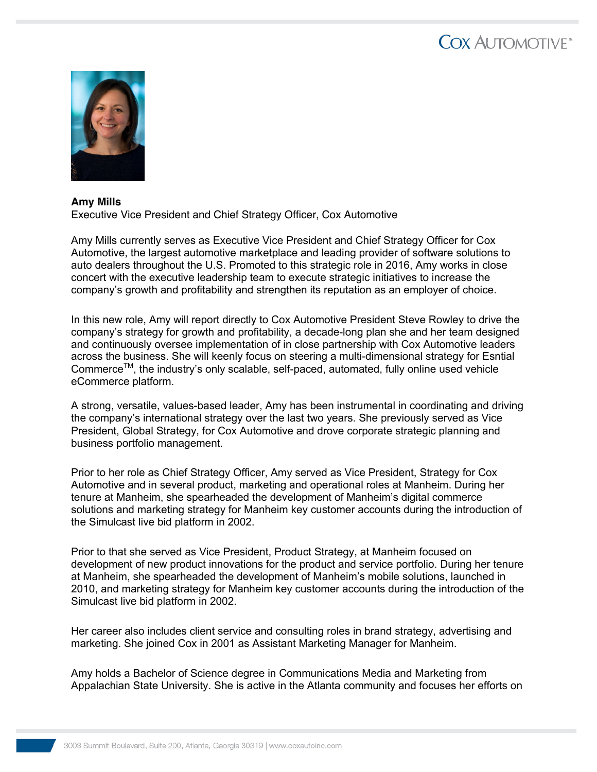## COX AUTOMOTIVE<sup>®</sup>



## **Amy Mills** Executive Vice President and Chief Strategy Officer, Cox Automotive

Amy Mills currently serves as Executive Vice President and Chief Strategy Officer for Cox Automotive, the largest automotive marketplace and leading provider of software solutions to auto dealers throughout the U.S. Promoted to this strategic role in 2016, Amy works in close concert with the executive leadership team to execute strategic initiatives to increase the company's growth and profitability and strengthen its reputation as an employer of choice.

In this new role, Amy will report directly to Cox Automotive President Steve Rowley to drive the company's strategy for growth and profitability, a decade-long plan she and her team designed and continuously oversee implementation of in close partnership with Cox Automotive leaders across the business. She will keenly focus on steering a multi-dimensional strategy for Esntial Commerce<sup>™</sup>, the industry's only scalable, self-paced, automated, fully online used vehicle eCommerce platform.

A strong, versatile, values-based leader, Amy has been instrumental in coordinating and driving the company's international strategy over the last two years. She previously served as Vice President, Global Strategy, for Cox Automotive and drove corporate strategic planning and business portfolio management.

Prior to her role as Chief Strategy Officer, Amy served as Vice President, Strategy for Cox Automotive and in several product, marketing and operational roles at Manheim. During her tenure at Manheim, she spearheaded the development of Manheim's digital commerce solutions and marketing strategy for Manheim key customer accounts during the introduction of the Simulcast live bid platform in 2002.

Prior to that she served as Vice President, Product Strategy, at Manheim focused on development of new product innovations for the product and service portfolio. During her tenure at Manheim, she spearheaded the development of Manheim's mobile solutions, launched in 2010, and marketing strategy for Manheim key customer accounts during the introduction of the Simulcast live bid platform in 2002.

Her career also includes client service and consulting roles in brand strategy, advertising and marketing. She joined Cox in 2001 as Assistant Marketing Manager for Manheim.

Amy holds a Bachelor of Science degree in Communications Media and Marketing from Appalachian State University. She is active in the Atlanta community and focuses her efforts on